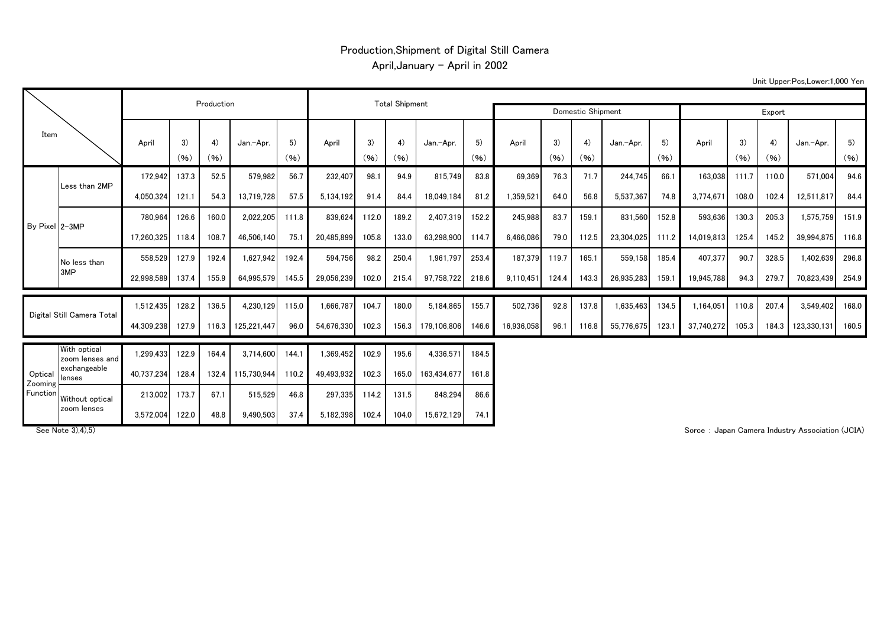## Production,Shipment of Digital Still Camera April, January - April in 2002

Unit Upper:Pcs,Lower:1,000 Yen

|                                |                                 |            |            | Production |             |            |            |            | <b>Total Shipment</b> |                   |            |            |            |            |            |            |            |            |            |             |            |
|--------------------------------|---------------------------------|------------|------------|------------|-------------|------------|------------|------------|-----------------------|-------------------|------------|------------|------------|------------|------------|------------|------------|------------|------------|-------------|------------|
| Item                           |                                 |            |            |            |             |            |            |            |                       | Domestic Shipment | Export     |            |            |            |            |            |            |            |            |             |            |
|                                |                                 | April      | 3)<br>(96) | 4)<br>(96) | Jan.-Apr.   | 5)<br>(96) | April      | 3)<br>(96) | 4)<br>(96)            | Jan.-Apr.         | 5)<br>(96) | April      | 3)<br>(96) | 4)<br>(96) | Jan.-Apr.  | 5)<br>(96) | April      | 3)<br>(96) | 4)<br>(96) | Jan.-Apr.   | 5)<br>(96) |
| By Pixel 2-3MP                 |                                 | 172.942    | 137.3      | 52.5       | 579,982     | 56.7       | 232,407    | 98.1       | 94.9                  | 815,749           | 83.8       | 69.369     | 76.3       | 71.7       | 244.745    | 66.1       | 163.038    | 111.7      | 110.0      | 571.004     | 94.6       |
|                                | Less than 2MP                   | 4,050,324  | 121.1      | 54.3       | 13,719,728  | 57.5       | 5,134,192  | 91.4       | 84.4                  | 18,049,184        | 81.2       | 1,359,521  | 64.0       | 56.8       | 5,537,367  | 74.8       | 3,774,671  | 108.0      | 102.4      | 12,511,817  | 84.4       |
|                                |                                 | 780,964    | 126.6      | 160.0      | 2,022,205   | 111.8      | 839,624    | 112.0      | 189.2                 | 2,407,319         | 152.2      | 245,988    | 83.7       | 159.1      | 831,560    | 152.8      | 593,636    | 130.3      | 205.3      | 1,575,759   | 151.9      |
|                                |                                 | 17.260.325 | 118.4      | 108.7      | 46.506.140  | 75.1       | 20.485.899 | 105.8      | 133.0                 | 63.298.900        | 114.7      | 6.466.086  | 79.0       | 112.5      | 23,304,025 | 111.2      | 14,019,813 | 125.4      | 145.2      | 39.994.875  | 116.8      |
|                                | No less than                    | 558.529    | 127.9      | 192.4      | 1.627.942   | 192.4      | 594.756    | 98.2       | 250.4                 | 1.961.797         | 253.4      | 187.379    | 119.7      | 165.1      | 559.158    | 185.4      | 407,377    | 90.7       | 328.5      | 1,402,639   | 296.8      |
|                                | 3MP                             | 22,998,589 | 137.4      | 155.9      | 64.995.579  | 145.5      | 29,056,239 | 102.0      | 215.4                 | 97,758,722        | 218.6      | 9.110.451  | 124.4      | 143.3      | 26,935,283 | 159.1      | 19,945,788 | 94.3       | 279.7      | 70,823,439  | 254.9      |
| Digital Still Camera Total     |                                 | 1.512.435  | 128.2      | 136.5      | 4.230.129   | 115.0      | .666,787   | 104.7      | 180.0                 | 5.184.865         | 155.7      | 502,736    | 92.8       | 137.8      | 1,635,463  | 134.5      | 1,164,051  | 110.8      | 207.4      | 3,549,402   | 168.0      |
|                                |                                 | 44,309,238 | 127.9      | 116.3      | 125,221,447 | 96.0       | 54,676,330 | 102.3      | 156.3                 | 179.106.806       | 146.6      | 16.936.058 | 96.1       | 116.8      | 55,776,675 | 123.1      | 37,740,272 | 105.3      | 184.3      | 123,330,131 | 160.5      |
| Optical<br>Zooming<br>Function | With optical<br>zoom lenses and | 1,299,433  | 122.9      | 164.4      | 3,714,600   | 144.1      | 1,369,452  | 102.9      | 195.6                 | 4,336,571         | 184.5      |            |            |            |            |            |            |            |            |             |            |
|                                | exchangeable<br>lenses          | 40,737,234 | 128.4      | 132.4      | 115.730.944 | 110.2      | 49,493,932 | 102.3      | 165.0                 | 163,434,677       | 161.8      |            |            |            |            |            |            |            |            |             |            |
|                                | Without optical                 | 213.002    | 173.7      | 67.1       | 515,529     | 46.8       | 297,335    | 114.2      | 131.5                 | 848,294           | 86.6       |            |            |            |            |            |            |            |            |             |            |
|                                | zoom lenses                     | 3.572,004  | 122.0      | 48.8       | 9.490.503   | 37.4       | 5,182,398  | 102.4      | 104.0                 | 15.672.129        | 74.1       |            |            |            |            |            |            |            |            |             |            |

See Note 3),4),5) **Subset of the Contract of the Contract of Sorce Community Association (JCIA)** Sorce : Japan Camera Industry Association (JCIA)